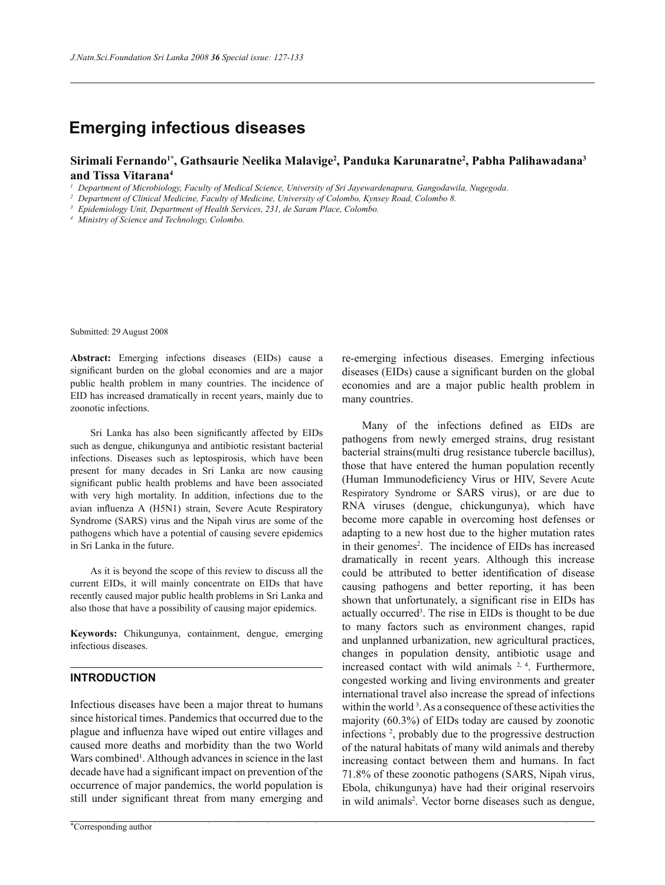# **Emerging infectious diseases**

# **Sirimali Fernando1\*, Gathsaurie Neelika Malavige<sup>2</sup> , Panduka Karunaratne<sup>2</sup> , Pabha Palihawadana<sup>3</sup> and Tissa Vitarana<sup>4</sup>**

*1 Department of Microbiology, Faculty of Medical Science, University of Sri Jayewardenapura, Gangodawila, Nugegoda.*

*2 Department of Clinical Medicine, Faculty of Medicine, University of Colombo, Kynsey Road, Colombo 8.*

*3 Epidemiology Unit, Department of Health Services, 231, de Saram Place, Colombo.*

*4 Ministry of Science and Technology, Colombo.*

Submitted: 29 August 2008

**Abstract:** Emerging infections diseases (EIDs) cause a significant burden on the global economies and are a major public health problem in many countries. The incidence of EID has increased dramatically in recent years, mainly due to zoonotic infections.

 Sri Lanka has also been significantly affected by EIDs such as dengue, chikungunya and antibiotic resistant bacterial infections. Diseases such as leptospirosis, which have been present for many decades in Sri Lanka are now causing significant public health problems and have been associated with very high mortality. In addition, infections due to the avian influenza A (H5N1) strain, Severe Acute Respiratory Syndrome (SARS) virus and the Nipah virus are some of the pathogens which have a potential of causing severe epidemics in Sri Lanka in the future.

 As it is beyond the scope of this review to discuss all the current EIDs, it will mainly concentrate on EIDs that have recently caused major public health problems in Sri Lanka and also those that have a possibility of causing major epidemics.

**Keywords:** Chikungunya, containment, dengue, emerging infectious diseases.

# **INTRODUCTION**

Infectious diseases have been a major threat to humans since historical times. Pandemics that occurred due to the plague and influenza have wiped out entire villages and caused more deaths and morbidity than the two World Wars combined<sup>1</sup>. Although advances in science in the last decade have had a significant impact on prevention of the occurrence of major pandemics, the world population is still under significant threat from many emerging and

re-emerging infectious diseases. Emerging infectious diseases (EIDs) cause a significant burden on the global economies and are a major public health problem in many countries.

 Many of the infections defined as EIDs are pathogens from newly emerged strains, drug resistant bacterial strains(multi drug resistance tubercle bacillus), those that have entered the human population recently (Human Immunodeficiency Virus or HIV, Severe Acute Respiratory Syndrome or SARS virus), or are due to RNA viruses (dengue, chickungunya), which have become more capable in overcoming host defenses or adapting to a new host due to the higher mutation rates in their genomes<sup>2</sup>. The incidence of EIDs has increased dramatically in recent years. Although this increase could be attributed to better identification of disease causing pathogens and better reporting, it has been shown that unfortunately, a significant rise in EIDs has actually occurred<sup>3</sup>. The rise in EIDs is thought to be due to many factors such as environment changes, rapid and unplanned urbanization, new agricultural practices, changes in population density, antibiotic usage and increased contact with wild animals 2, 4. Furthermore, congested working and living environments and greater international travel also increase the spread of infections within the world<sup>3</sup>. As a consequence of these activities the majority (60.3%) of EIDs today are caused by zoonotic infections <sup>2</sup> , probably due to the progressive destruction of the natural habitats of many wild animals and thereby increasing contact between them and humans. In fact 71.8% of these zoonotic pathogens (SARS, Nipah virus, Ebola, chikungunya) have had their original reservoirs in wild animals<sup>2</sup>. Vector borne diseases such as dengue,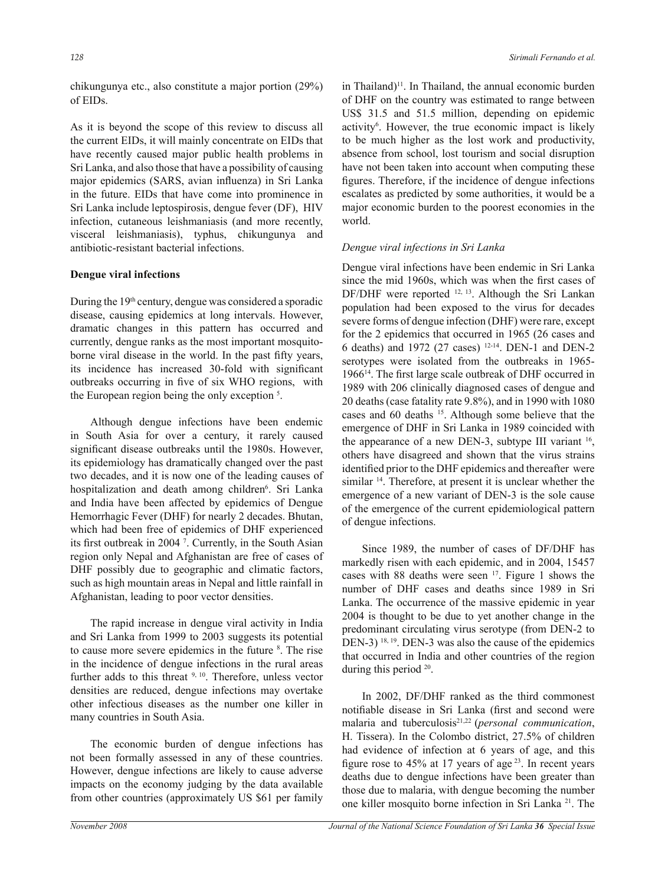chikungunya etc., also constitute a major portion (29%) of EIDs.

As it is beyond the scope of this review to discuss all the current EIDs, it will mainly concentrate on EIDs that have recently caused major public health problems in Sri Lanka, and also those that have a possibility of causing major epidemics (SARS, avian influenza) in Sri Lanka in the future. EIDs that have come into prominence in Sri Lanka include leptospirosis, dengue fever (DF), HIV infection, cutaneous leishmaniasis (and more recently, visceral leishmaniasis), typhus, chikungunya and antibiotic-resistant bacterial infections.

## **Dengue viral infections**

During the 19<sup>th</sup> century, dengue was considered a sporadic disease, causing epidemics at long intervals. However, dramatic changes in this pattern has occurred and currently, dengue ranks as the most important mosquitoborne viral disease in the world. In the past fifty years, its incidence has increased 30-fold with significant outbreaks occurring in five of six WHO regions, with the European region being the only exception <sup>5</sup> .

 Although dengue infections have been endemic in South Asia for over a century, it rarely caused significant disease outbreaks until the 1980s. However, its epidemiology has dramatically changed over the past two decades, and it is now one of the leading causes of hospitalization and death among children<sup>6</sup>. Sri Lanka and India have been affected by epidemics of Dengue Hemorrhagic Fever (DHF) for nearly 2 decades. Bhutan, which had been free of epidemics of DHF experienced its first outbreak in 2004 <sup>7</sup> . Currently, in the South Asian region only Nepal and Afghanistan are free of cases of DHF possibly due to geographic and climatic factors, such as high mountain areas in Nepal and little rainfall in Afghanistan, leading to poor vector densities.

 The rapid increase in dengue viral activity in India and Sri Lanka from 1999 to 2003 suggests its potential to cause more severe epidemics in the future <sup>8</sup> . The rise in the incidence of dengue infections in the rural areas further adds to this threat <sup>9, 10</sup>. Therefore, unless vector densities are reduced, dengue infections may overtake other infectious diseases as the number one killer in many countries in South Asia.

 The economic burden of dengue infections has not been formally assessed in any of these countries. However, dengue infections are likely to cause adverse impacts on the economy judging by the data available from other countries (approximately US \$61 per family

in Thailand)<sup>11</sup>. In Thailand, the annual economic burden of DHF on the country was estimated to range between US\$ 31.5 and 51.5 million, depending on epidemic activity<sup>6</sup> . However, the true economic impact is likely to be much higher as the lost work and productivity, absence from school, lost tourism and social disruption have not been taken into account when computing these figures. Therefore, if the incidence of dengue infections escalates as predicted by some authorities, it would be a major economic burden to the poorest economies in the world.

#### *Dengue viral infections in Sri Lanka*

Dengue viral infections have been endemic in Sri Lanka since the mid 1960s, which was when the first cases of DF/DHF were reported <sup>12, 13</sup>. Although the Sri Lankan population had been exposed to the virus for decades severe forms of dengue infection (DHF) were rare, except for the 2 epidemics that occurred in 1965 (26 cases and 6 deaths) and 1972 (27 cases) 12-14. DEN-1 and DEN-2 serotypes were isolated from the outbreaks in 1965- 1966<sup>14</sup>. The first large scale outbreak of DHF occurred in 1989 with 206 clinically diagnosed cases of dengue and 20 deaths (case fatality rate 9.8%), and in 1990 with 1080 cases and 60 deaths <sup>15</sup>. Although some believe that the emergence of DHF in Sri Lanka in 1989 coincided with the appearance of a new DEN-3, subtype III variant  $16$ , others have disagreed and shown that the virus strains identified prior to the DHF epidemics and thereafter were similar <sup>14</sup>. Therefore, at present it is unclear whether the emergence of a new variant of DEN-3 is the sole cause of the emergence of the current epidemiological pattern of dengue infections.

 Since 1989, the number of cases of DF/DHF has markedly risen with each epidemic, and in 2004, 15457 cases with 88 deaths were seen <sup>17</sup>. Figure 1 shows the number of DHF cases and deaths since 1989 in Sri Lanka. The occurrence of the massive epidemic in year 2004 is thought to be due to yet another change in the predominant circulating virus serotype (from DEN-2 to DEN-3)<sup>18, 19</sup>. DEN-3 was also the cause of the epidemics that occurred in India and other countries of the region during this period <sup>20</sup>.

 In 2002, DF/DHF ranked as the third commonest notifiable disease in Sri Lanka (first and second were malaria and tuberculosis<sup>21,22</sup> (*personal communication*, H. Tissera). In the Colombo district, 27.5% of children had evidence of infection at 6 years of age, and this figure rose to  $45\%$  at 17 years of age<sup>23</sup>. In recent years deaths due to dengue infections have been greater than those due to malaria, with dengue becoming the number one killer mosquito borne infection in Sri Lanka 21. The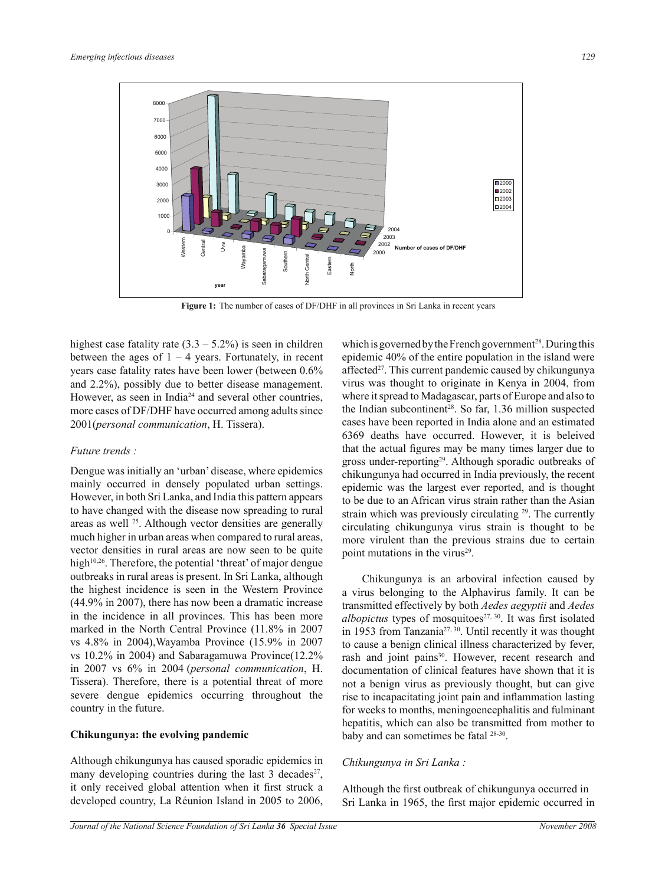

**Figure 1:** The number of cases of DF/DHF in all provinces in Sri Lanka in recent years

highest case fatality rate  $(3.3 - 5.2\%)$  is seen in children between the ages of  $1 - 4$  years. Fortunately, in recent years case fatality rates have been lower (between 0.6% and 2.2%), possibly due to better disease management. However, as seen in India<sup>24</sup> and several other countries, more cases of DF/DHF have occurred among adults since 2001(*personal communication*, H. Tissera).

#### *Future trends :*

Dengue was initially an 'urban' disease, where epidemics mainly occurred in densely populated urban settings. However, in both Sri Lanka, and India this pattern appears to have changed with the disease now spreading to rural areas as well <sup>25</sup>. Although vector densities are generally much higher in urban areas when compared to rural areas, vector densities in rural areas are now seen to be quite high<sup>10,26</sup>. Therefore, the potential 'threat' of major dengue outbreaks in rural areas is present. In Sri Lanka, although the highest incidence is seen in the Western Province (44.9% in 2007), there has now been a dramatic increase in the incidence in all provinces. This has been more marked in the North Central Province (11.8% in 2007 vs 4.8% in 2004),Wayamba Province (15.9% in 2007 vs 10.2% in 2004) and Sabaragamuwa Province(12.2% in 2007 vs 6% in 2004 (*personal communication*, H. Tissera). Therefore, there is a potential threat of more severe dengue epidemics occurring throughout the country in the future.

#### **Chikungunya: the evolving pandemic**

Although chikungunya has caused sporadic epidemics in many developing countries during the last  $3$  decades<sup>27</sup>, it only received global attention when it first struck a developed country, La Réunion Island in 2005 to 2006,

which is governed by the French government<sup>28</sup>. During this epidemic 40% of the entire population in the island were affected $27$ . This current pandemic caused by chikungunya virus was thought to originate in Kenya in 2004, from where it spread to Madagascar, parts of Europe and also to the Indian subcontinent<sup>28</sup>. So far,  $1.36$  million suspected cases have been reported in India alone and an estimated 6369 deaths have occurred. However, it is beleived that the actual figures may be many times larger due to gross under-reporting<sup>29</sup>. Although sporadic outbreaks of chikungunya had occurred in India previously, the recent epidemic was the largest ever reported, and is thought to be due to an African virus strain rather than the Asian strain which was previously circulating <sup>29</sup>. The currently circulating chikungunya virus strain is thought to be more virulent than the previous strains due to certain point mutations in the virus<sup>29</sup>.

 Chikungunya is an arboviral infection caused by a virus belonging to the Alphavirus family. It can be transmitted effectively by both *Aedes aegyptii* and *Aedes albopictus* types of mosquitoes $27, 30$ . It was first isolated in 1953 from Tanzania<sup>27, 30</sup>. Until recently it was thought to cause a benign clinical illness characterized by fever, rash and joint pains<sup>30</sup>. However, recent research and documentation of clinical features have shown that it is not a benign virus as previously thought, but can give rise to incapacitating joint pain and inflammation lasting for weeks to months, meningoencephalitis and fulminant hepatitis, which can also be transmitted from mother to baby and can sometimes be fatal <sup>28-30</sup>.

## *Chikungunya in Sri Lanka :*

Although the first outbreak of chikungunya occurred in Sri Lanka in 1965, the first major epidemic occurred in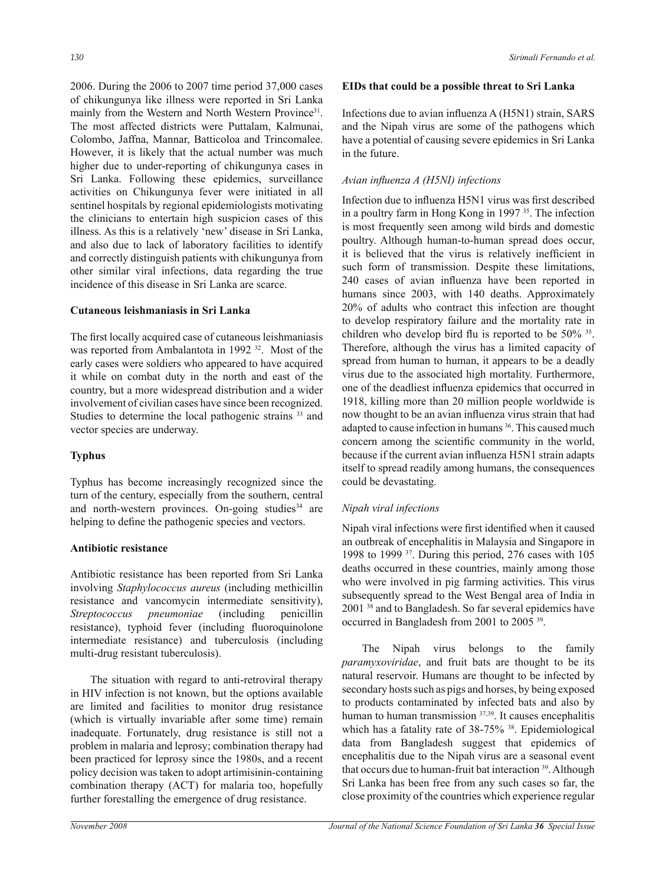2006. During the 2006 to 2007 time period 37,000 cases of chikungunya like illness were reported in Sri Lanka mainly from the Western and North Western Province<sup>31</sup>. The most affected districts were Puttalam, Kalmunai, Colombo, Jaffna, Mannar, Batticoloa and Trincomalee. However, it is likely that the actual number was much higher due to under-reporting of chikungunya cases in Sri Lanka. Following these epidemics, surveillance activities on Chikungunya fever were initiated in all sentinel hospitals by regional epidemiologists motivating the clinicians to entertain high suspicion cases of this illness. As this is a relatively 'new' disease in Sri Lanka, and also due to lack of laboratory facilities to identify and correctly distinguish patients with chikungunya from other similar viral infections, data regarding the true incidence of this disease in Sri Lanka are scarce.

## **Cutaneous leishmaniasis in Sri Lanka**

The first locally acquired case of cutaneous leishmaniasis was reported from Ambalantota in 1992<sup>32</sup>. Most of the early cases were soldiers who appeared to have acquired it while on combat duty in the north and east of the country, but a more widespread distribution and a wider involvement of civilian cases have since been recognized. Studies to determine the local pathogenic strains <sup>33</sup> and vector species are underway.

# **Typhus**

Typhus has become increasingly recognized since the turn of the century, especially from the southern, central and north-western provinces. On-going studies<sup>34</sup> are helping to define the pathogenic species and vectors.

## **Antibiotic resistance**

Antibiotic resistance has been reported from Sri Lanka involving *Staphylococcus aureus* (including methicillin resistance and vancomycin intermediate sensitivity), *Streptococcus pneumoniae* (including penicillin resistance), typhoid fever (including fluoroquinolone intermediate resistance) and tuberculosis (including multi-drug resistant tuberculosis).

 The situation with regard to anti-retroviral therapy in HIV infection is not known, but the options available are limited and facilities to monitor drug resistance (which is virtually invariable after some time) remain inadequate. Fortunately, drug resistance is still not a problem in malaria and leprosy; combination therapy had been practiced for leprosy since the 1980s, and a recent policy decision was taken to adopt artimisinin-containing combination therapy (ACT) for malaria too, hopefully further forestalling the emergence of drug resistance.

## **EIDs that could be a possible threat to Sri Lanka**

Infections due to avian influenza A (H5N1) strain, SARS and the Nipah virus are some of the pathogens which have a potential of causing severe epidemics in Sri Lanka in the future.

## *Avian influenza A (H5NI) infections*

Infection due to influenza H5N1 virus was first described in a poultry farm in Hong Kong in 1997 <sup>35</sup>. The infection is most frequently seen among wild birds and domestic poultry. Although human-to-human spread does occur, it is believed that the virus is relatively inefficient in such form of transmission. Despite these limitations, 240 cases of avian influenza have been reported in humans since 2003, with 140 deaths. Approximately 20% of adults who contract this infection are thought to develop respiratory failure and the mortality rate in children who develop bird flu is reported to be 50% <sup>35</sup> . Therefore, although the virus has a limited capacity of spread from human to human, it appears to be a deadly virus due to the associated high mortality. Furthermore, one of the deadliest influenza epidemics that occurred in 1918, killing more than 20 million people worldwide is now thought to be an avian influenza virus strain that had adapted to cause infection in humans <sup>36</sup>. This caused much concern among the scientific community in the world, because if the current avian influenza H5N1 strain adapts itself to spread readily among humans, the consequences could be devastating.

# *Nipah viral infections*

Nipah viral infections were first identified when it caused an outbreak of encephalitis in Malaysia and Singapore in 1998 to 1999 <sup>37</sup>. During this period, 276 cases with 105 deaths occurred in these countries, mainly among those who were involved in pig farming activities. This virus subsequently spread to the West Bengal area of India in 2001 <sup>38</sup> and to Bangladesh. So far several epidemics have occurred in Bangladesh from 2001 to 2005 <sup>39</sup> .

 The Nipah virus belongs to the family *paramyxoviridae*, and fruit bats are thought to be its natural reservoir. Humans are thought to be infected by secondary hosts such as pigs and horses, by being exposed to products contaminated by infected bats and also by human to human transmission <sup>37,39</sup>. It causes encephalitis which has a fatality rate of 38-75% <sup>38</sup>. Epidemiological data from Bangladesh suggest that epidemics of encephalitis due to the Nipah virus are a seasonal event that occurs due to human-fruit bat interaction <sup>39</sup>. Although Sri Lanka has been free from any such cases so far, the close proximity of the countries which experience regular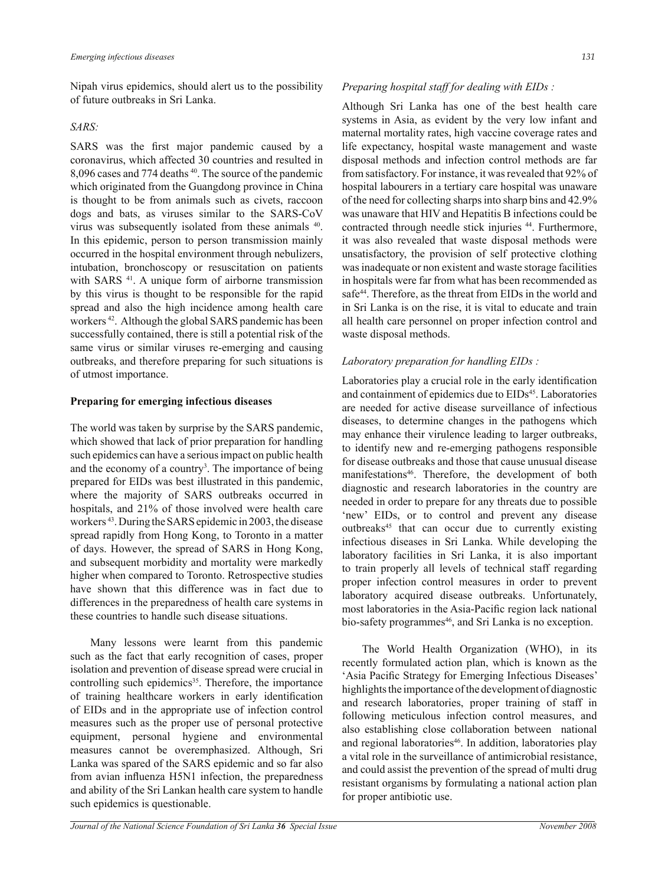Nipah virus epidemics, should alert us to the possibility of future outbreaks in Sri Lanka.

## *SARS:*

SARS was the first major pandemic caused by a coronavirus, which affected 30 countries and resulted in 8,096 cases and 774 deaths <sup>40</sup>. The source of the pandemic which originated from the Guangdong province in China is thought to be from animals such as civets, raccoon dogs and bats, as viruses similar to the SARS-CoV virus was subsequently isolated from these animals <sup>40</sup>. In this epidemic, person to person transmission mainly occurred in the hospital environment through nebulizers, intubation, bronchoscopy or resuscitation on patients with SARS<sup>41</sup>. A unique form of airborne transmission by this virus is thought to be responsible for the rapid spread and also the high incidence among health care workers <sup>42</sup>. Although the global SARS pandemic has been successfully contained, there is still a potential risk of the same virus or similar viruses re-emerging and causing outbreaks, and therefore preparing for such situations is of utmost importance.

## **Preparing for emerging infectious diseases**

The world was taken by surprise by the SARS pandemic, which showed that lack of prior preparation for handling such epidemics can have a serious impact on public health and the economy of a country<sup>3</sup>. The importance of being prepared for EIDs was best illustrated in this pandemic, where the majority of SARS outbreaks occurred in hospitals, and 21% of those involved were health care workers <sup>43</sup>. During the SARS epidemic in 2003, the disease spread rapidly from Hong Kong, to Toronto in a matter of days. However, the spread of SARS in Hong Kong, and subsequent morbidity and mortality were markedly higher when compared to Toronto. Retrospective studies have shown that this difference was in fact due to differences in the preparedness of health care systems in these countries to handle such disease situations.

 Many lessons were learnt from this pandemic such as the fact that early recognition of cases, proper isolation and prevention of disease spread were crucial in controlling such epidemics<sup>35</sup>. Therefore, the importance of training healthcare workers in early identification of EIDs and in the appropriate use of infection control measures such as the proper use of personal protective equipment, personal hygiene and environmental measures cannot be overemphasized. Although, Sri Lanka was spared of the SARS epidemic and so far also from avian influenza H5N1 infection, the preparedness and ability of the Sri Lankan health care system to handle such epidemics is questionable.

## *Preparing hospital staff for dealing with EIDs :*

Although Sri Lanka has one of the best health care systems in Asia, as evident by the very low infant and maternal mortality rates, high vaccine coverage rates and life expectancy, hospital waste management and waste disposal methods and infection control methods are far from satisfactory. For instance, it was revealed that 92% of hospital labourers in a tertiary care hospital was unaware of the need for collecting sharps into sharp bins and 42.9% was unaware that HIV and Hepatitis B infections could be contracted through needle stick injuries <sup>44</sup>. Furthermore, it was also revealed that waste disposal methods were unsatisfactory, the provision of self protective clothing was inadequate or non existent and waste storage facilities in hospitals were far from what has been recommended as safe<sup>44</sup>. Therefore, as the threat from EIDs in the world and in Sri Lanka is on the rise, it is vital to educate and train all health care personnel on proper infection control and waste disposal methods.

# *Laboratory preparation for handling EIDs :*

Laboratories play a crucial role in the early identification and containment of epidemics due to EIDs<sup>45</sup>. Laboratories are needed for active disease surveillance of infectious diseases, to determine changes in the pathogens which may enhance their virulence leading to larger outbreaks, to identify new and re-emerging pathogens responsible for disease outbreaks and those that cause unusual disease manifestations<sup>46</sup>. Therefore, the development of both diagnostic and research laboratories in the country are needed in order to prepare for any threats due to possible 'new' EIDs, or to control and prevent any disease outbreaks<sup>45</sup> that can occur due to currently existing infectious diseases in Sri Lanka. While developing the laboratory facilities in Sri Lanka, it is also important to train properly all levels of technical staff regarding proper infection control measures in order to prevent laboratory acquired disease outbreaks. Unfortunately, most laboratories in the Asia-Pacific region lack national bio-safety programmes<sup>46</sup>, and Sri Lanka is no exception.

 The World Health Organization (WHO), in its recently formulated action plan, which is known as the 'Asia Pacific Strategy for Emerging Infectious Diseases' highlights the importance of the development of diagnostic and research laboratories, proper training of staff in following meticulous infection control measures, and also establishing close collaboration between national and regional laboratories<sup>46</sup>. In addition, laboratories play a vital role in the surveillance of antimicrobial resistance, and could assist the prevention of the spread of multi drug resistant organisms by formulating a national action plan for proper antibiotic use.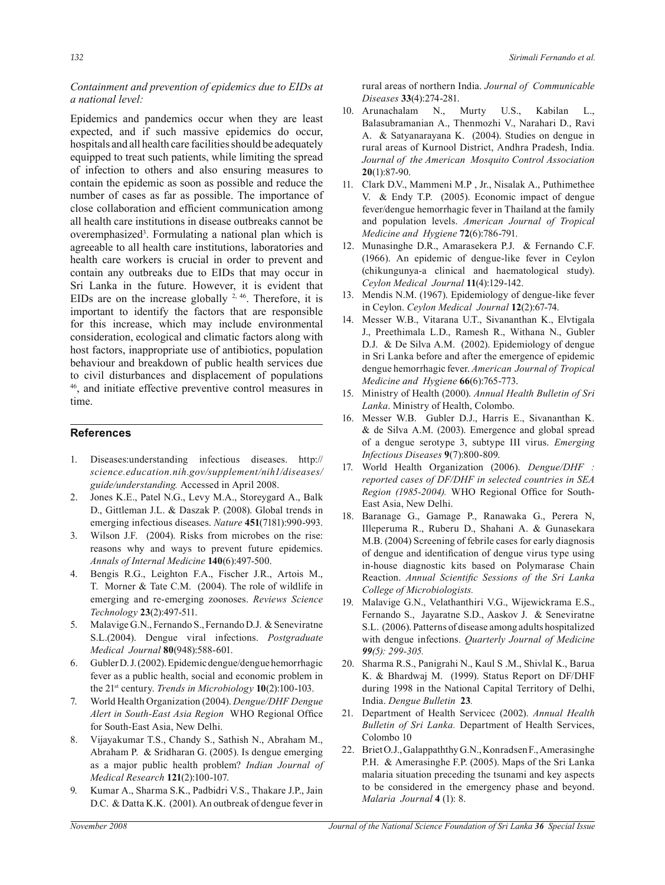*Containment and prevention of epidemics due to EIDs at a national level:*

Epidemics and pandemics occur when they are least expected, and if such massive epidemics do occur, hospitals and all health care facilities should be adequately equipped to treat such patients, while limiting the spread of infection to others and also ensuring measures to contain the epidemic as soon as possible and reduce the number of cases as far as possible. The importance of close collaboration and efficient communication among all health care institutions in disease outbreaks cannot be overemphasized<sup>3</sup>. Formulating a national plan which is agreeable to all health care institutions, laboratories and health care workers is crucial in order to prevent and contain any outbreaks due to EIDs that may occur in Sri Lanka in the future. However, it is evident that EIDs are on the increase globally  $2, 46$ . Therefore, it is important to identify the factors that are responsible for this increase, which may include environmental consideration, ecological and climatic factors along with host factors, inappropriate use of antibiotics, population behaviour and breakdown of public health services due to civil disturbances and displacement of populations <sup>46</sup>, and initiate effective preventive control measures in time.

## **References**

- 1. Diseases:understanding infectious diseases. http:// *science.education.nih.gov/supplement/nih1/diseases/ guide/understanding.* Accessed in April 2008.
- 2. Jones K.E., Patel N.G., Levy M.A., Storeygard A., Balk D., Gittleman J.L. & Daszak P. (2008). Global trends in emerging infectious diseases. *Nature* **451**(7181):990-993.
- 3. Wilson J.F. (2004). Risks from microbes on the rise: reasons why and ways to prevent future epidemics. *Annals of Internal Medicine* **140**(6):497-500.
- 4. Bengis R.G., Leighton F.A., Fischer J.R., Artois M., T. Morner & Tate C.M. (2004). The role of wildlife in emerging and re-emerging zoonoses. *Reviews Science Technology* **23**(2):497-511.
- 5. Malavige G.N., Fernando S., Fernando D.J. & Seneviratne S.L.(2004). Dengue viral infections. *Postgraduate Medical Journal* **80**(948):588-601.
- 6. Gubler D. J. (2002). Epidemic dengue/dengue hemorrhagic fever as a public health, social and economic problem in the 21st century. *Trends in Microbiology* **10**(2):100-103.
- 7. World Health Organization (2004). *Dengue/DHF Dengue Alert in South-East Asia Region* WHO Regional Office for South-East Asia, New Delhi.
- 8. Vijayakumar T.S., Chandy S., Sathish N., Abraham M., Abraham P. & Sridharan G. (2005). Is dengue emerging as a major public health problem? *Indian Journal of Medical Research* **121**(2):100-107.
- 9. Kumar A., Sharma S.K., Padbidri V.S., Thakare J.P., Jain D.C. & Datta K.K. (2001). An outbreak of dengue fever in

rural areas of northern India. *Journal of Communicable Diseases* **33**(4):274-281.

- 10. Arunachalam N., Murty U.S., Kabilan L., Balasubramanian A., Thenmozhi V., Narahari D., Ravi A. & Satyanarayana K. (2004). Studies on dengue in rural areas of Kurnool District, Andhra Pradesh, India. *Journal of the American Mosquito Control Association* **20**(1):87-90.
- 11. Clark D.V., Mammeni M.P , Jr., Nisalak A., Puthimethee V. & Endy T.P. (2005). Economic impact of dengue fever/dengue hemorrhagic fever in Thailand at the family and population levels. *American Journal of Tropical Medicine and Hygiene* **72**(6):786-791.
- 12. Munasinghe D.R., Amarasekera P.J. & Fernando C.F. (1966). An epidemic of dengue-like fever in Ceylon (chikungunya-a clinical and haematological study). *Ceylon Medical Journal* **11**(4):129-142.
- 13. Mendis N.M. (1967). Epidemiology of dengue-like fever in Ceylon. *Ceylon Medical Journal* **12**(2):67-74.
- 14. Messer W.B., Vitarana U.T., Sivananthan K., Elvtigala J., Preethimala L.D., Ramesh R., Withana N., Gubler D.J. & De Silva A.M. (2002). Epidemiology of dengue in Sri Lanka before and after the emergence of epidemic dengue hemorrhagic fever. *American Journal of Tropical Medicine and Hygiene* **66**(6):765-773.
- 15. Ministry of Health (2000). *Annual Health Bulletin of Sri Lanka*. Ministry of Health, Colombo.
- 16. Messer W.B. Gubler D.J., Harris E., Sivananthan K. & de Silva A.M. (2003). Emergence and global spread of a dengue serotype 3, subtype III virus. *Emerging Infectious Diseases* **9**(7):800-809.
- 17. World Health Organization (2006). *Dengue/DHF : reported cases of DF/DHF in selected countries in SEA Region (1985-2004).* WHO Regional Office for South-East Asia, New Delhi.
- 18. Baranage G., Gamage P., Ranawaka G., Perera N, Illeperuma R., Ruberu D., Shahani A. & Gunasekara M.B. (2004) Screening of febrile cases for early diagnosis of dengue and identification of dengue virus type using in-house diagnostic kits based on Polymarase Chain Reaction. *Annual Scientific Sessions of the Sri Lanka College of Microbiologists.*
- 19. Malavige G.N., Velathanthiri V.G., Wijewickrama E.S., Fernando S., Jayaratne S.D., Aaskov J. & Seneviratne S.L. (2006). Patterns of disease among adults hospitalized with dengue infections. *Quarterly Journal of Medicine 99(5): 299-305.*
- 20. Sharma R.S., Panigrahi N., Kaul S .M., Shivlal K., Barua K. & Bhardwaj M. (1999). Status Report on DF/DHF during 1998 in the National Capital Territory of Delhi, India. *Dengue Bulletin* **23***.*
- 21. Department of Health Servicec (2002). *Annual Health Bulletin of Sri Lanka.* Department of Health Services, Colombo 10
- 22. Briet O.J., Galappaththy G.N., Konradsen F., Amerasinghe P.H. & Amerasinghe F.P. (2005). Maps of the Sri Lanka malaria situation preceding the tsunami and key aspects to be considered in the emergency phase and beyond. *Malaria Journal* **4** (1): 8.